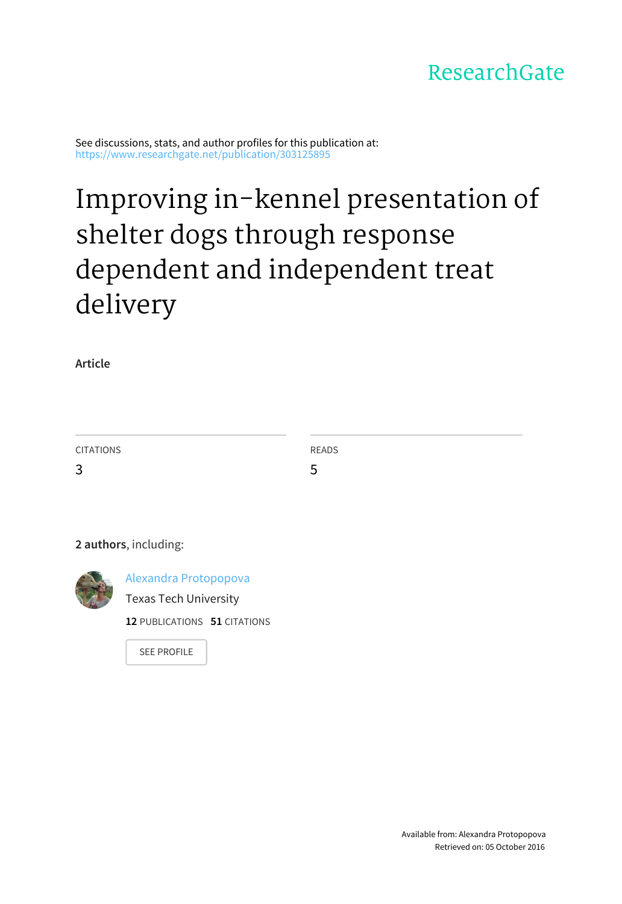# ResearchGate

See discussions, stats, and author profiles for this publication at: [https://www.researchgate.net/publication/303125895](https://www.researchgate.net/publication/303125895_Improving_in-kennel_presentation_of_shelter_dogs_through_response_dependent_and_independent_treat_delivery?enrichId=rgreq-d9647deb36cc5fed0820190c59a379ca-XXX&enrichSource=Y292ZXJQYWdlOzMwMzEyNTg5NTtBUzozNjMxMjEwMTAwNjk1MDRAMTQ2MzU4NjIwMzQ2MQ%3D%3D&el=1_x_2)

# Improving in-kennel [presentation](https://www.researchgate.net/publication/303125895_Improving_in-kennel_presentation_of_shelter_dogs_through_response_dependent_and_independent_treat_delivery?enrichId=rgreq-d9647deb36cc5fed0820190c59a379ca-XXX&enrichSource=Y292ZXJQYWdlOzMwMzEyNTg5NTtBUzozNjMxMjEwMTAwNjk1MDRAMTQ2MzU4NjIwMzQ2MQ%3D%3D&el=1_x_3) of shelter dogs through response dependent and independent treat delivery

**Article**

| CITATIONS | <b>READS</b> |
|-----------|--------------|
| 3         | ت            |

**2 authors**, including:



Alexandra [Protopopova](https://www.researchgate.net/profile/Alexandra_Protopopova?enrichId=rgreq-d9647deb36cc5fed0820190c59a379ca-XXX&enrichSource=Y292ZXJQYWdlOzMwMzEyNTg5NTtBUzozNjMxMjEwMTAwNjk1MDRAMTQ2MzU4NjIwMzQ2MQ%3D%3D&el=1_x_5) Texas Tech [University](https://www.researchgate.net/institution/Texas_Tech_University?enrichId=rgreq-d9647deb36cc5fed0820190c59a379ca-XXX&enrichSource=Y292ZXJQYWdlOzMwMzEyNTg5NTtBUzozNjMxMjEwMTAwNjk1MDRAMTQ2MzU4NjIwMzQ2MQ%3D%3D&el=1_x_6) **12** PUBLICATIONS **51** CITATIONS

SEE [PROFILE](https://www.researchgate.net/profile/Alexandra_Protopopova?enrichId=rgreq-d9647deb36cc5fed0820190c59a379ca-XXX&enrichSource=Y292ZXJQYWdlOzMwMzEyNTg5NTtBUzozNjMxMjEwMTAwNjk1MDRAMTQ2MzU4NjIwMzQ2MQ%3D%3D&el=1_x_7)

Available from: Alexandra Protopopova Retrieved on: 05 October 2016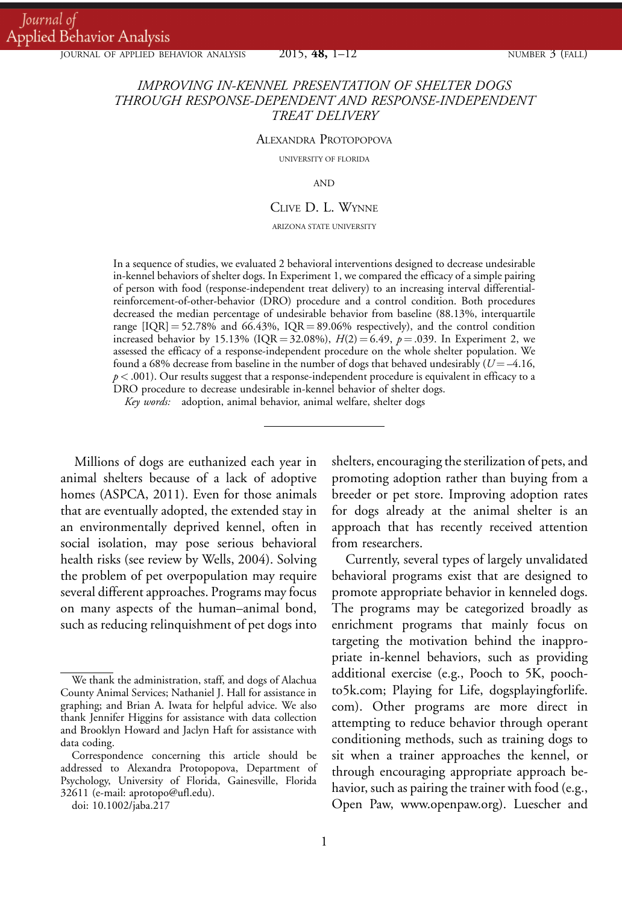JOURNAL OF APPLIED BEHAVIOR ANALYSIS 2015, 48, 1–12 NUMBER 3 (FALL)

# IMPROVING IN-KENNEL PRESENTATION OF SHELTER DOGS THROUGH RESPONSE-DEPENDENT AND RESPONSE-INDEPENDENT TREAT DELIVERY

#### ALEXANDRA PROTOPOPOVA

UNIVERSITY OF FLORIDA

AND

#### CLIVE D. L. WYNNE

ARIZONA STATE UNIVERSITY

In a sequence of studies, we evaluated 2 behavioral interventions designed to decrease undesirable in-kennel behaviors of shelter dogs. In Experiment 1, we compared the efficacy of a simple pairing of person with food (response-independent treat delivery) to an increasing interval differentialreinforcement-of-other-behavior (DRO) procedure and a control condition. Both procedures decreased the median percentage of undesirable behavior from baseline (88.13%, interquartile range  $[IQR] = 52.78\%$  and 66.43%,  $IQR = 89.06\%$  respectively), and the control condition increased behavior by 15.13% (IQR = 32.08%),  $H(2) = 6.49$ ,  $p = .039$ . In Experiment 2, we assessed the efficacy of a response-independent procedure on the whole shelter population. We found a 68% decrease from baseline in the number of dogs that behaved undesirably ( $U = -4.16$ ,  $p < .001$ ). Our results suggest that a response-independent procedure is equivalent in efficacy to a DRO procedure to decrease undesirable in-kennel behavior of shelter dogs.

Key words: adoption, animal behavior, animal welfare, shelter dogs

Millions of dogs are euthanized each year in animal shelters because of a lack of adoptive homes (ASPCA, 2011). Even for those animals that are eventually adopted, the extended stay in an environmentally deprived kennel, often in social isolation, may pose serious behavioral health risks (see review by Wells, 2004). Solving the problem of pet overpopulation may require several different approaches. Programs may focus on many aspects of the human–animal bond, such as reducing relinquishment of pet dogs into

shelters, encouraging the sterilization of pets, and promoting adoption rather than buying from a breeder or pet store. Improving adoption rates for dogs already at the animal shelter is an approach that has recently received attention from researchers.

Currently, several types of largely unvalidated behavioral programs exist that are designed to promote appropriate behavior in kenneled dogs. The programs may be categorized broadly as enrichment programs that mainly focus on targeting the motivation behind the inappropriate in-kennel behaviors, such as providing additional exercise (e.g., Pooch to 5K, poochto5k.com; Playing for Life, dogsplayingforlife. com). Other programs are more direct in attempting to reduce behavior through operant conditioning methods, such as training dogs to sit when a trainer approaches the kennel, or through encouraging appropriate approach behavior, such as pairing the trainer with food (e.g., Open Paw, www.openpaw.org). Luescher and

We thank the administration, staff, and dogs of Alachua County Animal Services; Nathaniel J. Hall for assistance in graphing; and Brian A. Iwata for helpful advice. We also thank Jennifer Higgins for assistance with data collection and Brooklyn Howard and Jaclyn Haft for assistance with data coding.

Correspondence concerning this article should be addressed to Alexandra Protopopova, Department of Psychology, University of Florida, Gainesville, Florida 32611 (e-mail: aprotopo@ufl.edu).

doi: 10.1002/jaba.217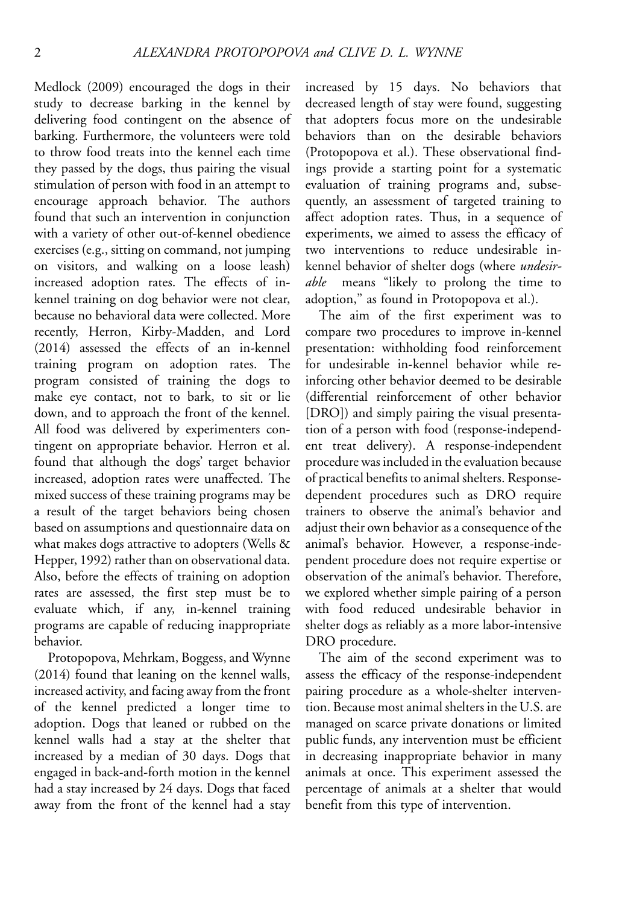Medlock (2009) encouraged the dogs in their study to decrease barking in the kennel by delivering food contingent on the absence of barking. Furthermore, the volunteers were told to throw food treats into the kennel each time they passed by the dogs, thus pairing the visual stimulation of person with food in an attempt to encourage approach behavior. The authors found that such an intervention in conjunction with a variety of other out-of-kennel obedience exercises (e.g., sitting on command, not jumping on visitors, and walking on a loose leash) increased adoption rates. The effects of inkennel training on dog behavior were not clear, because no behavioral data were collected. More recently, Herron, Kirby-Madden, and Lord (2014) assessed the effects of an in-kennel training program on adoption rates. The program consisted of training the dogs to make eye contact, not to bark, to sit or lie down, and to approach the front of the kennel. All food was delivered by experimenters contingent on appropriate behavior. Herron et al. found that although the dogs' target behavior increased, adoption rates were unaffected. The mixed success of these training programs may be a result of the target behaviors being chosen based on assumptions and questionnaire data on what makes dogs attractive to adopters (Wells & Hepper, 1992) rather than on observational data. Also, before the effects of training on adoption rates are assessed, the first step must be to evaluate which, if any, in-kennel training programs are capable of reducing inappropriate behavior.

Protopopova, Mehrkam, Boggess, and Wynne (2014) found that leaning on the kennel walls, increased activity, and facing away from the front of the kennel predicted a longer time to adoption. Dogs that leaned or rubbed on the kennel walls had a stay at the shelter that increased by a median of 30 days. Dogs that engaged in back-and-forth motion in the kennel had a stay increased by 24 days. Dogs that faced away from the front of the kennel had a stay increased by 15 days. No behaviors that decreased length of stay were found, suggesting that adopters focus more on the undesirable behaviors than on the desirable behaviors (Protopopova et al.). These observational findings provide a starting point for a systematic evaluation of training programs and, subsequently, an assessment of targeted training to affect adoption rates. Thus, in a sequence of experiments, we aimed to assess the efficacy of two interventions to reduce undesirable inkennel behavior of shelter dogs (where undesirable means "likely to prolong the time to adoption," as found in Protopopova et al.).

The aim of the first experiment was to compare two procedures to improve in-kennel presentation: withholding food reinforcement for undesirable in-kennel behavior while reinforcing other behavior deemed to be desirable (differential reinforcement of other behavior [DRO]) and simply pairing the visual presentation of a person with food (response-independent treat delivery). A response-independent procedure was included in the evaluation because of practical benefits to animal shelters. Responsedependent procedures such as DRO require trainers to observe the animal's behavior and adjust their own behavior as a consequence of the animal's behavior. However, a response-independent procedure does not require expertise or observation of the animal's behavior. Therefore, we explored whether simple pairing of a person with food reduced undesirable behavior in shelter dogs as reliably as a more labor-intensive DRO procedure.

The aim of the second experiment was to assess the efficacy of the response-independent pairing procedure as a whole-shelter intervention. Because most animal shelters in the U.S. are managed on scarce private donations or limited public funds, any intervention must be efficient in decreasing inappropriate behavior in many animals at once. This experiment assessed the percentage of animals at a shelter that would benefit from this type of intervention.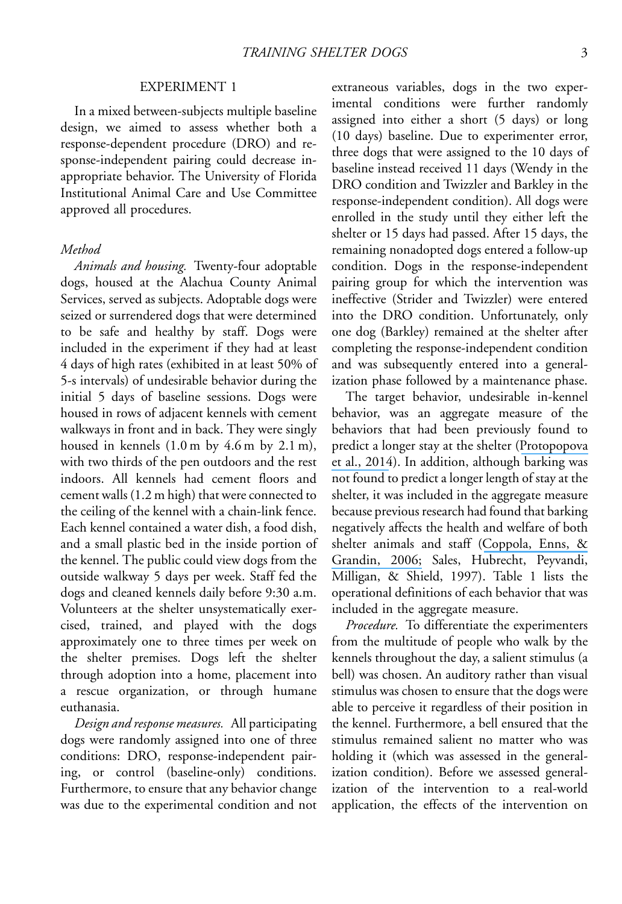#### EXPERIMENT 1

In a mixed between-subjects multiple baseline design, we aimed to assess whether both a response-dependent procedure (DRO) and response-independent pairing could decrease inappropriate behavior. The University of Florida Institutional Animal Care and Use Committee approved all procedures.

#### Method

Animals and housing. Twenty-four adoptable dogs, housed at the Alachua County Animal Services, served as subjects. Adoptable dogs were seized or surrendered dogs that were determined to be safe and healthy by staff. Dogs were included in the experiment if they had at least 4 days of high rates (exhibited in at least 50% of 5-s intervals) of undesirable behavior during the initial 5 days of baseline sessions. Dogs were housed in rows of adjacent kennels with cement walkways in front and in back. They were singly housed in kennels (1.0 m by 4.6 m by 2.1 m), with two thirds of the pen outdoors and the rest indoors. All kennels had cement floors and cement walls (1.2 m high) that were connected to the ceiling of the kennel with a chain-link fence. Each kennel contained a water dish, a food dish, and a small plastic bed in the inside portion of the kennel. The public could view dogs from the outside walkway 5 days per week. Staff fed the dogs and cleaned kennels daily before 9:30 a.m. Volunteers at the shelter unsystematically exercised, trained, and played with the dogs approximately one to three times per week on the shelter premises. Dogs left the shelter through adoption into a home, placement into a rescue organization, or through humane euthanasia.

Design and response measures. All participating dogs were randomly assigned into one of three conditions: DRO, response-independent pairing, or control (baseline-only) conditions. Furthermore, to ensure that any behavior change was due to the experimental condition and not

extraneous variables, dogs in the two experimental conditions were further randomly assigned into either a short (5 days) or long (10 days) baseline. Due to experimenter error, three dogs that were assigned to the 10 days of baseline instead received 11 days (Wendy in the DRO condition and Twizzler and Barkley in the response-independent condition). All dogs were enrolled in the study until they either left the shelter or 15 days had passed. After 15 days, the remaining nonadopted dogs entered a follow-up condition. Dogs in the response-independent pairing group for which the intervention was ineffective (Strider and Twizzler) were entered into the DRO condition. Unfortunately, only one dog (Barkley) remained at the shelter after completing the response-independent condition and was subsequently entered into a generalization phase followed by a maintenance phase.

The target behavior, undesirable in-kennel behavior, was an aggregate measure of the behaviors that had been previously found to predict a longer stay at the shelter ([Protopopova](https://www.researchgate.net/publication/270343189_In-Kennel_Behavior_Predicts_Length_of_Stay_in_Shelter_Dogs?el=1_x_8&enrichId=rgreq-d9647deb36cc5fed0820190c59a379ca-XXX&enrichSource=Y292ZXJQYWdlOzMwMzEyNTg5NTtBUzozNjMxMjEwMTAwNjk1MDRAMTQ2MzU4NjIwMzQ2MQ==) [et al., 2014](https://www.researchgate.net/publication/270343189_In-Kennel_Behavior_Predicts_Length_of_Stay_in_Shelter_Dogs?el=1_x_8&enrichId=rgreq-d9647deb36cc5fed0820190c59a379ca-XXX&enrichSource=Y292ZXJQYWdlOzMwMzEyNTg5NTtBUzozNjMxMjEwMTAwNjk1MDRAMTQ2MzU4NjIwMzQ2MQ==)). In addition, although barking was not found to predict a longer length of stay at the shelter, it was included in the aggregate measure because previous research had found that barking negatively affects the health and welfare of both shelter animals and staff ([Coppola, Enns, &](https://www.researchgate.net/publication/7131347_Noise_in_the_Animal_Shelter_Environment_Building_Design_and_the_Effects_of_Daily_Noise_Exposure?el=1_x_8&enrichId=rgreq-d9647deb36cc5fed0820190c59a379ca-XXX&enrichSource=Y292ZXJQYWdlOzMwMzEyNTg5NTtBUzozNjMxMjEwMTAwNjk1MDRAMTQ2MzU4NjIwMzQ2MQ==) [Grandin, 2006;](https://www.researchgate.net/publication/7131347_Noise_in_the_Animal_Shelter_Environment_Building_Design_and_the_Effects_of_Daily_Noise_Exposure?el=1_x_8&enrichId=rgreq-d9647deb36cc5fed0820190c59a379ca-XXX&enrichSource=Y292ZXJQYWdlOzMwMzEyNTg5NTtBUzozNjMxMjEwMTAwNjk1MDRAMTQ2MzU4NjIwMzQ2MQ==) Sales, Hubrecht, Peyvandi, Milligan, & Shield, 1997). Table 1 lists the operational definitions of each behavior that was included in the aggregate measure.

Procedure. To differentiate the experimenters from the multitude of people who walk by the kennels throughout the day, a salient stimulus (a bell) was chosen. An auditory rather than visual stimulus was chosen to ensure that the dogs were able to perceive it regardless of their position in the kennel. Furthermore, a bell ensured that the stimulus remained salient no matter who was holding it (which was assessed in the generalization condition). Before we assessed generalization of the intervention to a real-world application, the effects of the intervention on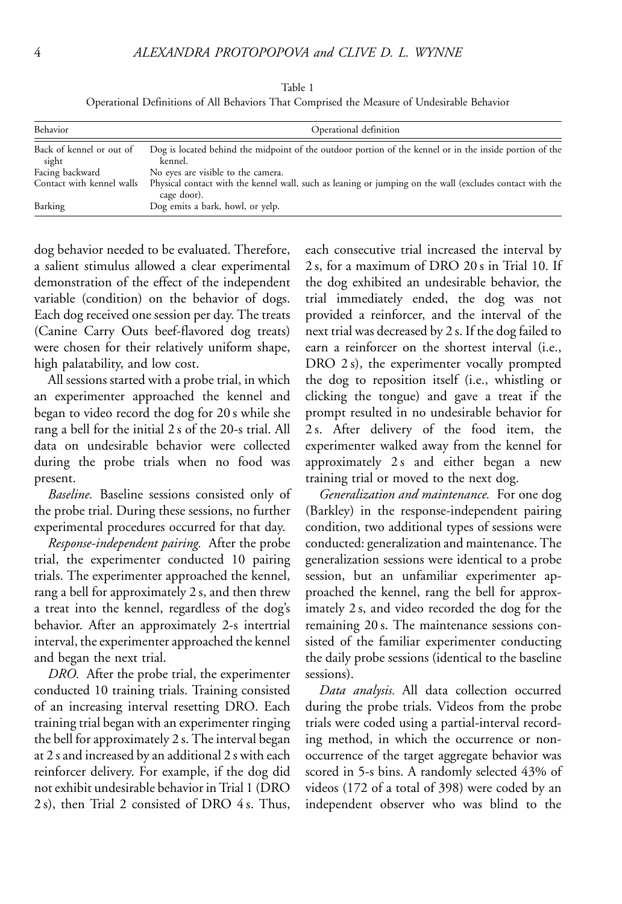|                                                                                             | Table 1 |  |
|---------------------------------------------------------------------------------------------|---------|--|
| Operational Definitions of All Behaviors That Comprised the Measure of Undesirable Behavior |         |  |

| Behavior                          | Operational definition                                                                                                  |  |
|-----------------------------------|-------------------------------------------------------------------------------------------------------------------------|--|
| Back of kennel or out of<br>sight | Dog is located behind the midpoint of the outdoor portion of the kennel or in the inside portion of the<br>kennel.      |  |
| Facing backward                   | No eyes are visible to the camera.                                                                                      |  |
| Contact with kennel walls         | Physical contact with the kennel wall, such as leaning or jumping on the wall (excludes contact with the<br>cage door). |  |
| Barking                           | Dog emits a bark, howl, or yelp.                                                                                        |  |

dog behavior needed to be evaluated. Therefore, a salient stimulus allowed a clear experimental demonstration of the effect of the independent variable (condition) on the behavior of dogs. Each dog received one session per day. The treats (Canine Carry Outs beef-flavored dog treats) were chosen for their relatively uniform shape, high palatability, and low cost.

All sessions started with a probe trial, in which an experimenter approached the kennel and began to video record the dog for 20 s while she rang a bell for the initial 2 s of the 20-s trial. All data on undesirable behavior were collected during the probe trials when no food was present.

Baseline. Baseline sessions consisted only of the probe trial. During these sessions, no further experimental procedures occurred for that day.

Response-independent pairing. After the probe trial, the experimenter conducted 10 pairing trials. The experimenter approached the kennel, rang a bell for approximately 2 s, and then threw a treat into the kennel, regardless of the dog's behavior. After an approximately 2-s intertrial interval, the experimenter approached the kennel and began the next trial.

DRO. After the probe trial, the experimenter conducted 10 training trials. Training consisted of an increasing interval resetting DRO. Each training trial began with an experimenter ringing the bell for approximately 2 s. The interval began at 2 s and increased by an additional 2 s with each reinforcer delivery. For example, if the dog did not exhibit undesirable behavior in Trial 1 (DRO 2 s), then Trial 2 consisted of DRO 4 s. Thus,

each consecutive trial increased the interval by 2 s, for a maximum of DRO 20 s in Trial 10. If the dog exhibited an undesirable behavior, the trial immediately ended, the dog was not provided a reinforcer, and the interval of the next trial was decreased by 2 s. If the dog failed to earn a reinforcer on the shortest interval (i.e., DRO 2<sub>s</sub>), the experimenter vocally prompted the dog to reposition itself (i.e., whistling or clicking the tongue) and gave a treat if the prompt resulted in no undesirable behavior for 2 s. After delivery of the food item, the experimenter walked away from the kennel for approximately 2s and either began a new training trial or moved to the next dog.

Generalization and maintenance. For one dog (Barkley) in the response-independent pairing condition, two additional types of sessions were conducted: generalization and maintenance. The generalization sessions were identical to a probe session, but an unfamiliar experimenter approached the kennel, rang the bell for approximately 2 s, and video recorded the dog for the remaining 20 s. The maintenance sessions consisted of the familiar experimenter conducting the daily probe sessions (identical to the baseline sessions).

Data analysis. All data collection occurred during the probe trials. Videos from the probe trials were coded using a partial-interval recording method, in which the occurrence or nonoccurrence of the target aggregate behavior was scored in 5-s bins. A randomly selected 43% of videos (172 of a total of 398) were coded by an independent observer who was blind to the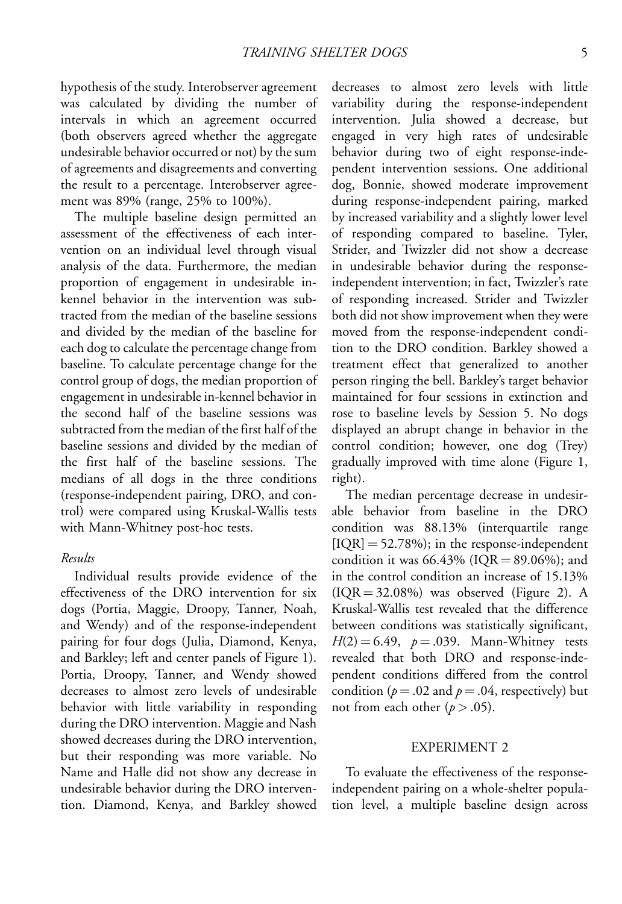hypothesis of the study. Interobserver agreement was calculated by dividing the number of intervals in which an agreement occurred (both observers agreed whether the aggregate undesirable behavior occurred or not) by the sum of agreements and disagreements and converting the result to a percentage. Interobserver agreement was 89% (range, 25% to 100%).

The multiple baseline design permitted an assessment of the effectiveness of each intervention on an individual level through visual analysis of the data. Furthermore, the median proportion of engagement in undesirable inkennel behavior in the intervention was subtracted from the median of the baseline sessions and divided by the median of the baseline for each dog to calculate the percentage change from baseline. To calculate percentage change for the control group of dogs, the median proportion of engagement in undesirable in-kennel behavior in the second half of the baseline sessions was subtracted from the median of the first half of the baseline sessions and divided by the median of the first half of the baseline sessions. The medians of all dogs in the three conditions (response-independent pairing, DRO, and control) were compared using Kruskal-Wallis tests with Mann-Whitney post-hoc tests.

# Results

Individual results provide evidence of the effectiveness of the DRO intervention for six dogs (Portia, Maggie, Droopy, Tanner, Noah, and Wendy) and of the response-independent pairing for four dogs (Julia, Diamond, Kenya, and Barkley; left and center panels of Figure 1). Portia, Droopy, Tanner, and Wendy showed decreases to almost zero levels of undesirable behavior with little variability in responding during the DRO intervention. Maggie and Nash showed decreases during the DRO intervention, but their responding was more variable. No Name and Halle did not show any decrease in undesirable behavior during the DRO intervention. Diamond, Kenya, and Barkley showed

decreases to almost zero levels with little variability during the response-independent intervention. Julia showed a decrease, but engaged in very high rates of undesirable behavior during two of eight response-independent intervention sessions. One additional dog, Bonnie, showed moderate improvement during response-independent pairing, marked by increased variability and a slightly lower level of responding compared to baseline. Tyler, Strider, and Twizzler did not show a decrease in undesirable behavior during the responseindependent intervention; in fact, Twizzler's rate of responding increased. Strider and Twizzler both did not show improvement when they were moved from the response-independent condition to the DRO condition. Barkley showed a treatment effect that generalized to another person ringing the bell. Barkley's target behavior maintained for four sessions in extinction and rose to baseline levels by Session 5. No dogs displayed an abrupt change in behavior in the control condition; however, one dog (Trey) gradually improved with time alone (Figure 1, right).

The median percentage decrease in undesirable behavior from baseline in the DRO condition was 88.13% (interquartile range  $[IQR] = 52.78\%$ ; in the response-independent condition it was  $66.43\%$  (IQR = 89.06%); and in the control condition an increase of 15.13%  $(IQR = 32.08%)$  was observed (Figure 2). A Kruskal-Wallis test revealed that the difference between conditions was statistically significant,  $H(2) = 6.49$ ,  $p = .039$ . Mann-Whitney tests revealed that both DRO and response-independent conditions differed from the control condition ( $p = .02$  and  $p = .04$ , respectively) but not from each other  $(p > .05)$ .

# EXPERIMENT 2

To evaluate the effectiveness of the responseindependent pairing on a whole-shelter population level, a multiple baseline design across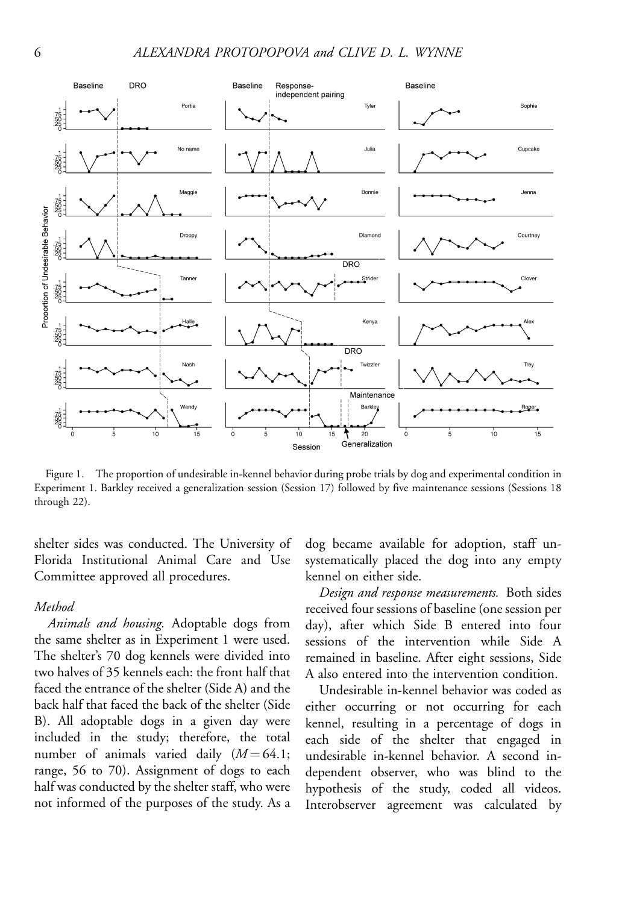

Figure 1. The proportion of undesirable in-kennel behavior during probe trials by dog and experimental condition in Experiment 1. Barkley received a generalization session (Session 17) followed by five maintenance sessions (Sessions 18 through 22).

shelter sides was conducted. The University of Florida Institutional Animal Care and Use Committee approved all procedures.

#### Method

Animals and housing. Adoptable dogs from the same shelter as in Experiment 1 were used. The shelter's 70 dog kennels were divided into two halves of 35 kennels each: the front half that faced the entrance of the shelter (Side A) and the back half that faced the back of the shelter (Side B). All adoptable dogs in a given day were included in the study; therefore, the total number of animals varied daily  $(M = 64.1;$ range, 56 to 70). Assignment of dogs to each half was conducted by the shelter staff, who were not informed of the purposes of the study. As a

dog became available for adoption, staff unsystematically placed the dog into any empty kennel on either side.

Design and response measurements. Both sides received four sessions of baseline (one session per day), after which Side B entered into four sessions of the intervention while Side A remained in baseline. After eight sessions, Side A also entered into the intervention condition.

Undesirable in-kennel behavior was coded as either occurring or not occurring for each kennel, resulting in a percentage of dogs in each side of the shelter that engaged in undesirable in-kennel behavior. A second independent observer, who was blind to the hypothesis of the study, coded all videos. Interobserver agreement was calculated by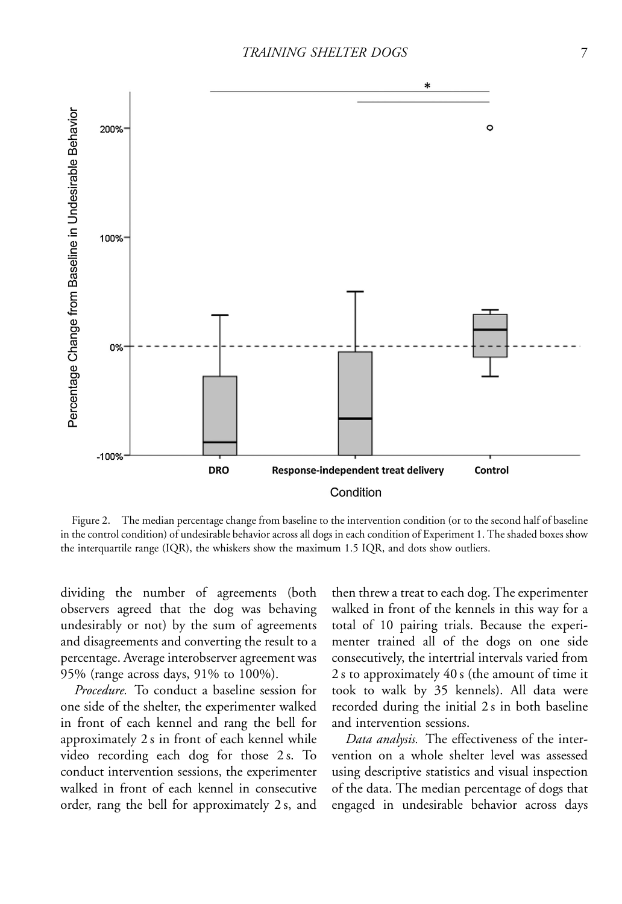

Figure 2. The median percentage change from baseline to the intervention condition (or to the second half of baseline in the control condition) of undesirable behavior across all dogs in each condition of Experiment 1. The shaded boxes show the interquartile range (IQR), the whiskers show the maximum 1.5 IQR, and dots show outliers.

dividing the number of agreements (both observers agreed that the dog was behaving undesirably or not) by the sum of agreements and disagreements and converting the result to a percentage. Average interobserver agreement was 95% (range across days, 91% to 100%).

Procedure. To conduct a baseline session for one side of the shelter, the experimenter walked in front of each kennel and rang the bell for approximately 2 s in front of each kennel while video recording each dog for those 2 s. To conduct intervention sessions, the experimenter walked in front of each kennel in consecutive order, rang the bell for approximately 2 s, and then threw a treat to each dog. The experimenter walked in front of the kennels in this way for a total of 10 pairing trials. Because the experimenter trained all of the dogs on one side consecutively, the intertrial intervals varied from 2 s to approximately 40 s (the amount of time it took to walk by 35 kennels). All data were recorded during the initial 2 s in both baseline and intervention sessions.

Data analysis. The effectiveness of the intervention on a whole shelter level was assessed using descriptive statistics and visual inspection of the data. The median percentage of dogs that engaged in undesirable behavior across days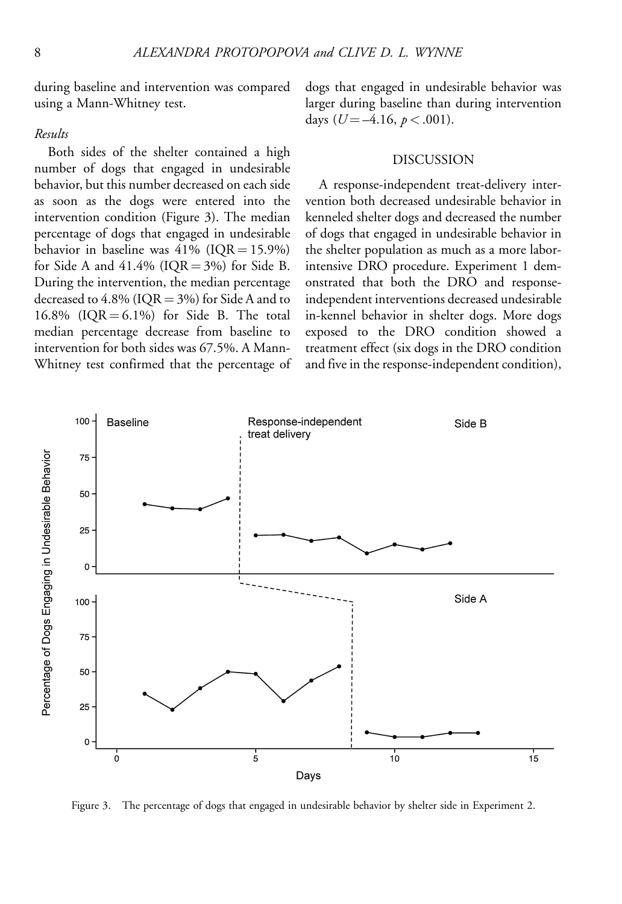during baseline and intervention was compared using a Mann-Whitney test.

## Results

Both sides of the shelter contained a high number of dogs that engaged in undesirable behavior, but this number decreased on each side as soon as the dogs were entered into the intervention condition (Figure 3). The median percentage of dogs that engaged in undesirable behavior in baseline was  $41\%$  (IQR = 15.9%) for Side A and  $41.4\%$  (IQR = 3%) for Side B. During the intervention, the median percentage decreased to  $4.8\%$  (IQR = 3%) for Side A and to 16.8% ( $IQR = 6.1\%$ ) for Side B. The total median percentage decrease from baseline to intervention for both sides was 67.5%. A Mann-Whitney test confirmed that the percentage of dogs that engaged in undesirable behavior was larger during baseline than during intervention days ( $U = -4.16$ ,  $p < .001$ ).

# DISCUSSION

A response-independent treat-delivery intervention both decreased undesirable behavior in kenneled shelter dogs and decreased the number of dogs that engaged in undesirable behavior in the shelter population as much as a more laborintensive DRO procedure. Experiment 1 demonstrated that both the DRO and responseindependent interventions decreased undesirable in-kennel behavior in shelter dogs. More dogs exposed to the DRO condition showed a treatment effect (six dogs in the DRO condition and five in the response-independent condition),



Figure 3. The percentage of dogs that engaged in undesirable behavior by shelter side in Experiment 2.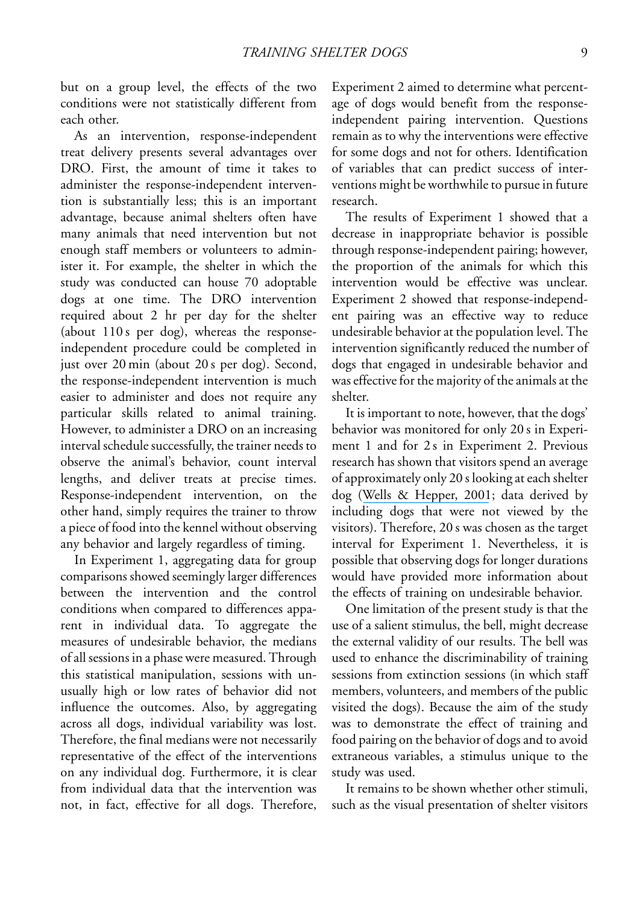but on a group level, the effects of the two conditions were not statistically different from each other.

As an intervention, response-independent treat delivery presents several advantages over DRO. First, the amount of time it takes to administer the response-independent intervention is substantially less; this is an important advantage, because animal shelters often have many animals that need intervention but not enough staff members or volunteers to administer it. For example, the shelter in which the study was conducted can house 70 adoptable dogs at one time. The DRO intervention required about 2 hr per day for the shelter (about 110 s per dog), whereas the responseindependent procedure could be completed in just over 20 min (about 20 s per dog). Second, the response-independent intervention is much easier to administer and does not require any particular skills related to animal training. However, to administer a DRO on an increasing interval schedule successfully, the trainer needs to observe the animal's behavior, count interval lengths, and deliver treats at precise times. Response-independent intervention, on the other hand, simply requires the trainer to throw a piece of food into the kennel without observing any behavior and largely regardless of timing.

In Experiment 1, aggregating data for group comparisons showed seemingly larger differences between the intervention and the control conditions when compared to differences apparent in individual data. To aggregate the measures of undesirable behavior, the medians of all sessions in a phase were measured. Through this statistical manipulation, sessions with unusually high or low rates of behavior did not influence the outcomes. Also, by aggregating across all dogs, individual variability was lost. Therefore, the final medians were not necessarily representative of the effect of the interventions on any individual dog. Furthermore, it is clear from individual data that the intervention was not, in fact, effective for all dogs. Therefore,

Experiment 2 aimed to determine what percentage of dogs would benefit from the responseindependent pairing intervention. Questions remain as to why the interventions were effective for some dogs and not for others. Identification of variables that can predict success of interventions might be worthwhile to pursue in future research.

The results of Experiment 1 showed that a decrease in inappropriate behavior is possible through response-independent pairing; however, the proportion of the animals for which this intervention would be effective was unclear. Experiment 2 showed that response-independent pairing was an effective way to reduce undesirable behavior at the population level. The intervention significantly reduced the number of dogs that engaged in undesirable behavior and was effective for the majority of the animals at the shelter.

It is important to note, however, that the dogs' behavior was monitored for only 20 s in Experiment 1 and for 2s in Experiment 2. Previous research has shown that visitors spend an average of approximately only 20 s looking at each shelter dog ([Wells & Hepper, 2001](https://www.researchgate.net/publication/233664847_The_Behavior_of_Visitors_Towards_Dogs_Housed_in_an_Animal_Rescue_Shelter?el=1_x_8&enrichId=rgreq-d9647deb36cc5fed0820190c59a379ca-XXX&enrichSource=Y292ZXJQYWdlOzMwMzEyNTg5NTtBUzozNjMxMjEwMTAwNjk1MDRAMTQ2MzU4NjIwMzQ2MQ==); data derived by including dogs that were not viewed by the visitors). Therefore, 20 s was chosen as the target interval for Experiment 1. Nevertheless, it is possible that observing dogs for longer durations would have provided more information about the effects of training on undesirable behavior.

One limitation of the present study is that the use of a salient stimulus, the bell, might decrease the external validity of our results. The bell was used to enhance the discriminability of training sessions from extinction sessions (in which staff members, volunteers, and members of the public visited the dogs). Because the aim of the study was to demonstrate the effect of training and food pairing on the behavior of dogs and to avoid extraneous variables, a stimulus unique to the study was used.

It remains to be shown whether other stimuli, such as the visual presentation of shelter visitors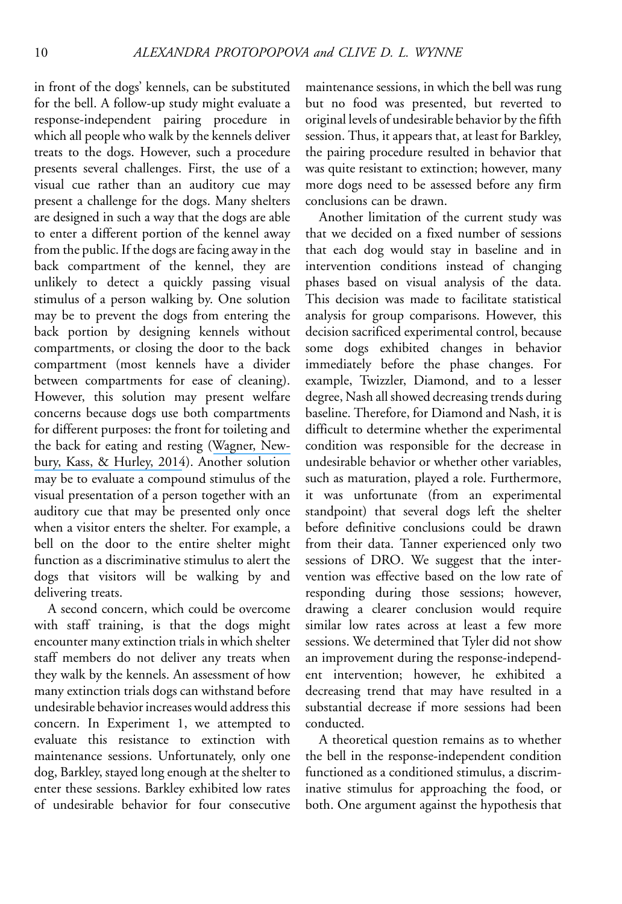in front of the dogs' kennels, can be substituted for the bell. A follow-up study might evaluate a response-independent pairing procedure in which all people who walk by the kennels deliver treats to the dogs. However, such a procedure presents several challenges. First, the use of a visual cue rather than an auditory cue may present a challenge for the dogs. Many shelters are designed in such a way that the dogs are able to enter a different portion of the kennel away from the public. If the dogs are facing away in the back compartment of the kennel, they are unlikely to detect a quickly passing visual stimulus of a person walking by. One solution may be to prevent the dogs from entering the back portion by designing kennels without compartments, or closing the door to the back compartment (most kennels have a divider between compartments for ease of cleaning). However, this solution may present welfare concerns because dogs use both compartments for different purposes: the front for toileting and the back for eating and resting ([Wagner, New](https://www.researchgate.net/publication/262302129_Elimination_Behavior_of_Shelter_Dogs_Housed_in_Double_Compartment_Kennels?el=1_x_8&enrichId=rgreq-d9647deb36cc5fed0820190c59a379ca-XXX&enrichSource=Y292ZXJQYWdlOzMwMzEyNTg5NTtBUzozNjMxMjEwMTAwNjk1MDRAMTQ2MzU4NjIwMzQ2MQ==)[bury, Kass, & Hurley, 2014](https://www.researchgate.net/publication/262302129_Elimination_Behavior_of_Shelter_Dogs_Housed_in_Double_Compartment_Kennels?el=1_x_8&enrichId=rgreq-d9647deb36cc5fed0820190c59a379ca-XXX&enrichSource=Y292ZXJQYWdlOzMwMzEyNTg5NTtBUzozNjMxMjEwMTAwNjk1MDRAMTQ2MzU4NjIwMzQ2MQ==)). Another solution may be to evaluate a compound stimulus of the visual presentation of a person together with an auditory cue that may be presented only once when a visitor enters the shelter. For example, a bell on the door to the entire shelter might function as a discriminative stimulus to alert the dogs that visitors will be walking by and delivering treats.

A second concern, which could be overcome with staff training, is that the dogs might encounter many extinction trials in which shelter staff members do not deliver any treats when they walk by the kennels. An assessment of how many extinction trials dogs can withstand before undesirable behavior increases would address this concern. In Experiment 1, we attempted to evaluate this resistance to extinction with maintenance sessions. Unfortunately, only one dog, Barkley, stayed long enough at the shelter to enter these sessions. Barkley exhibited low rates of undesirable behavior for four consecutive

maintenance sessions, in which the bell was rung but no food was presented, but reverted to original levels of undesirable behavior by the fifth session. Thus, it appears that, at least for Barkley, the pairing procedure resulted in behavior that was quite resistant to extinction; however, many more dogs need to be assessed before any firm conclusions can be drawn.

Another limitation of the current study was that we decided on a fixed number of sessions that each dog would stay in baseline and in intervention conditions instead of changing phases based on visual analysis of the data. This decision was made to facilitate statistical analysis for group comparisons. However, this decision sacrificed experimental control, because some dogs exhibited changes in behavior immediately before the phase changes. For example, Twizzler, Diamond, and to a lesser degree, Nash all showed decreasing trends during baseline. Therefore, for Diamond and Nash, it is difficult to determine whether the experimental condition was responsible for the decrease in undesirable behavior or whether other variables, such as maturation, played a role. Furthermore, it was unfortunate (from an experimental standpoint) that several dogs left the shelter before definitive conclusions could be drawn from their data. Tanner experienced only two sessions of DRO. We suggest that the intervention was effective based on the low rate of responding during those sessions; however, drawing a clearer conclusion would require similar low rates across at least a few more sessions. We determined that Tyler did not show an improvement during the response-independent intervention; however, he exhibited a decreasing trend that may have resulted in a substantial decrease if more sessions had been conducted.

A theoretical question remains as to whether the bell in the response-independent condition functioned as a conditioned stimulus, a discriminative stimulus for approaching the food, or both. One argument against the hypothesis that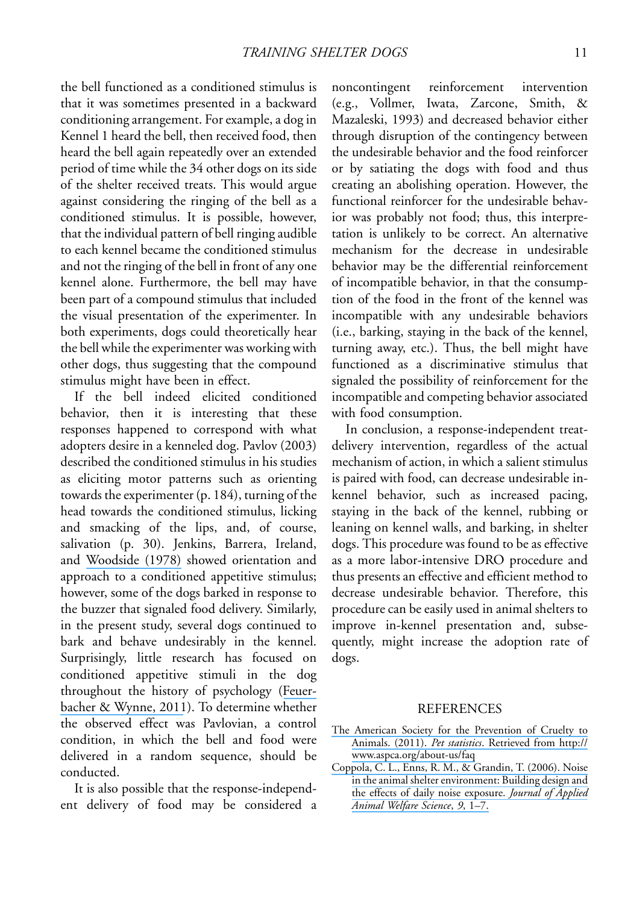the bell functioned as a conditioned stimulus is that it was sometimes presented in a backward conditioning arrangement. For example, a dog in Kennel 1 heard the bell, then received food, then heard the bell again repeatedly over an extended period of time while the 34 other dogs on its side of the shelter received treats. This would argue against considering the ringing of the bell as a conditioned stimulus. It is possible, however, that the individual pattern of bell ringing audible to each kennel became the conditioned stimulus and not the ringing of the bell in front of any one kennel alone. Furthermore, the bell may have been part of a compound stimulus that included the visual presentation of the experimenter. In both experiments, dogs could theoretically hear the bell while the experimenter was working with other dogs, thus suggesting that the compound stimulus might have been in effect.

If the bell indeed elicited conditioned behavior, then it is interesting that these responses happened to correspond with what adopters desire in a kenneled dog. Pavlov (2003) described the conditioned stimulus in his studies as eliciting motor patterns such as orienting towards the experimenter (p. 184), turning of the head towards the conditioned stimulus, licking and smacking of the lips, and, of course, salivation (p. 30). Jenkins, Barrera, Ireland, and [Woodside \(1978\)](https://www.researchgate.net/publication/222276997_Signal-centered_action_patterns_of_dogs_in_appetitive_classical_conditioning?el=1_x_8&enrichId=rgreq-d9647deb36cc5fed0820190c59a379ca-XXX&enrichSource=Y292ZXJQYWdlOzMwMzEyNTg5NTtBUzozNjMxMjEwMTAwNjk1MDRAMTQ2MzU4NjIwMzQ2MQ==) showed orientation and approach to a conditioned appetitive stimulus; however, some of the dogs barked in response to the buzzer that signaled food delivery. Similarly, in the present study, several dogs continued to bark and behave undesirably in the kennel. Surprisingly, little research has focused on conditioned appetitive stimuli in the dog throughout the history of psychology ([Feuer](https://www.researchgate.net/publication/228475061_A_History_of_Dogs_as_Subjects_in_North_American_Experimental_Psychological_Research?el=1_x_8&enrichId=rgreq-d9647deb36cc5fed0820190c59a379ca-XXX&enrichSource=Y292ZXJQYWdlOzMwMzEyNTg5NTtBUzozNjMxMjEwMTAwNjk1MDRAMTQ2MzU4NjIwMzQ2MQ==)[bacher & Wynne, 2011](https://www.researchgate.net/publication/228475061_A_History_of_Dogs_as_Subjects_in_North_American_Experimental_Psychological_Research?el=1_x_8&enrichId=rgreq-d9647deb36cc5fed0820190c59a379ca-XXX&enrichSource=Y292ZXJQYWdlOzMwMzEyNTg5NTtBUzozNjMxMjEwMTAwNjk1MDRAMTQ2MzU4NjIwMzQ2MQ==)). To determine whether the observed effect was Pavlovian, a control condition, in which the bell and food were delivered in a random sequence, should be conducted.

It is also possible that the response-independent delivery of food may be considered a noncontingent reinforcement intervention (e.g., Vollmer, Iwata, Zarcone, Smith, & Mazaleski, 1993) and decreased behavior either through disruption of the contingency between the undesirable behavior and the food reinforcer or by satiating the dogs with food and thus creating an abolishing operation. However, the functional reinforcer for the undesirable behavior was probably not food; thus, this interpretation is unlikely to be correct. An alternative mechanism for the decrease in undesirable behavior may be the differential reinforcement of incompatible behavior, in that the consumption of the food in the front of the kennel was incompatible with any undesirable behaviors (i.e., barking, staying in the back of the kennel, turning away, etc.). Thus, the bell might have functioned as a discriminative stimulus that signaled the possibility of reinforcement for the incompatible and competing behavior associated with food consumption.

In conclusion, a response-independent treatdelivery intervention, regardless of the actual mechanism of action, in which a salient stimulus is paired with food, can decrease undesirable inkennel behavior, such as increased pacing, staying in the back of the kennel, rubbing or leaning on kennel walls, and barking, in shelter dogs. This procedure was found to be as effective as a more labor-intensive DRO procedure and thus presents an effective and efficient method to decrease undesirable behavior. Therefore, this procedure can be easily used in animal shelters to improve in-kennel presentation and, subsequently, might increase the adoption rate of dogs.

#### **REFERENCES**

- [The American Society for the Prevention of Cruelty to](https://www.researchgate.net/publication/7131347_Noise_in_the_Animal_Shelter_Environment_Building_Design_and_the_Effects_of_Daily_Noise_Exposure?el=1_x_8&enrichId=rgreq-d9647deb36cc5fed0820190c59a379ca-XXX&enrichSource=Y292ZXJQYWdlOzMwMzEyNTg5NTtBUzozNjMxMjEwMTAwNjk1MDRAMTQ2MzU4NjIwMzQ2MQ==) Animals. (2011). Pet statistics[. Retrieved from http://](https://www.researchgate.net/publication/7131347_Noise_in_the_Animal_Shelter_Environment_Building_Design_and_the_Effects_of_Daily_Noise_Exposure?el=1_x_8&enrichId=rgreq-d9647deb36cc5fed0820190c59a379ca-XXX&enrichSource=Y292ZXJQYWdlOzMwMzEyNTg5NTtBUzozNjMxMjEwMTAwNjk1MDRAMTQ2MzU4NjIwMzQ2MQ==) [www.aspca.org/about-us/faq](https://www.researchgate.net/publication/7131347_Noise_in_the_Animal_Shelter_Environment_Building_Design_and_the_Effects_of_Daily_Noise_Exposure?el=1_x_8&enrichId=rgreq-d9647deb36cc5fed0820190c59a379ca-XXX&enrichSource=Y292ZXJQYWdlOzMwMzEyNTg5NTtBUzozNjMxMjEwMTAwNjk1MDRAMTQ2MzU4NjIwMzQ2MQ==)
- [Coppola, C. L., Enns, R. M., & Grandin, T. \(2006\). Noise](https://www.researchgate.net/publication/7131347_Noise_in_the_Animal_Shelter_Environment_Building_Design_and_the_Effects_of_Daily_Noise_Exposure?el=1_x_8&enrichId=rgreq-d9647deb36cc5fed0820190c59a379ca-XXX&enrichSource=Y292ZXJQYWdlOzMwMzEyNTg5NTtBUzozNjMxMjEwMTAwNjk1MDRAMTQ2MzU4NjIwMzQ2MQ==) [in the animal shelter environment: Building design and](https://www.researchgate.net/publication/7131347_Noise_in_the_Animal_Shelter_Environment_Building_Design_and_the_Effects_of_Daily_Noise_Exposure?el=1_x_8&enrichId=rgreq-d9647deb36cc5fed0820190c59a379ca-XXX&enrichSource=Y292ZXJQYWdlOzMwMzEyNTg5NTtBUzozNjMxMjEwMTAwNjk1MDRAMTQ2MzU4NjIwMzQ2MQ==) [the effects of daily noise exposure.](https://www.researchgate.net/publication/7131347_Noise_in_the_Animal_Shelter_Environment_Building_Design_and_the_Effects_of_Daily_Noise_Exposure?el=1_x_8&enrichId=rgreq-d9647deb36cc5fed0820190c59a379ca-XXX&enrichSource=Y292ZXJQYWdlOzMwMzEyNTg5NTtBUzozNjMxMjEwMTAwNjk1MDRAMTQ2MzU4NjIwMzQ2MQ==) Journal of Applied [Animal Welfare Science](https://www.researchgate.net/publication/7131347_Noise_in_the_Animal_Shelter_Environment_Building_Design_and_the_Effects_of_Daily_Noise_Exposure?el=1_x_8&enrichId=rgreq-d9647deb36cc5fed0820190c59a379ca-XXX&enrichSource=Y292ZXJQYWdlOzMwMzEyNTg5NTtBUzozNjMxMjEwMTAwNjk1MDRAMTQ2MzU4NjIwMzQ2MQ==), 9, 1–7.